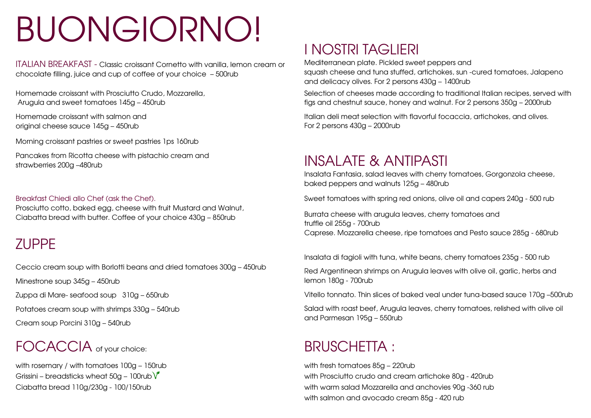# BUONGIORNO!

ITALIAN BREAKFAST - Classic croissant Cornetto with vanilla, lemon cream or chocolate filling, juice and cup of coffee of your choice – 500rub

Homemade croissant with Prosciutto Crudo, Mozzarella, Arugula and sweet tomatoes 145g – 450rub

Homemade croissant with salmon and original cheese sauce 145g – 450rub

Morning croissant pastries or sweet pastries 1ps 160rub

Pancakes from Ricotta cheese with pistachio cream and Pancakes from Ricotta cheese with pistachio cream and **INSALATE & ANTIPASTI**<br>strawberries 200g –480rub

### Breakfast Chiedi allo Chef (ask the Chef).

Prosciutto cotto, baked egg, cheese with fruit Mustard and Walnut, Ciabatta bread with butter. Coffee of your choice 430g – 850rub

### ZUPPE

Ceccio cream soup with Borlotti beans and dried tomatoes 300g – 450rub

Minestrone soup 345g – 450rub

Zuppa di Mare- seafood soup 310g – 650rub

Potatoes cream soup with shrimps 330g – 540rub

Cream soup Porcini 310g – 540rub

## FOCACCIA of vour choice: BRUSCHETTA :

with rosemary / with tomatoes 100g – 150rub Grissini – breadsticks wheat 50g – 100rub $\sqrt{\ }$ Ciabatta bread 110g/230g - 100/150rub

### I NOSTRI TAGLIERI

Mediterranean plate. Pickled sweet peppers and squash cheese and tuna stuffed, artichokes, sun -cured tomatoes, Jalapeno and delicacy olives. For 2 persons 430g – 1400rub

Selection of cheeses made according to traditional Italian recipes, served with figs and chestnut sauce, honey and walnut. For 2 persons 350g – 2000rub

Italian deli meat selection with flavorful focaccia, artichokes, and olives. For 2 persons 430g – 2000rub

Insalata Fantasia, salad leaves with cherry tomatoes, Gorgonzola cheese, baked peppers and walnuts 125g – 480rub

Sweet tomatoes with spring red onions, olive oil and capers 240g - 500 rub

Burrata cheese with arugula leaves, cherry tomatoes and truffle oil 255g - 700rub Сaprese. Mozzarella cheese, ripe tomatoes and Pesto sauce 285g - 680rub

Insalata di fagioli with tuna, white beans, cherry tomatoes 235g - 500 rub

Red Argentinean shrimps on Arugula leaves with olive oil, garlic, herbs and lemon 180g - 700rub

Vitello tonnato. Thin slices of baked veal under tuna-based sauce 170g –500rub

Salad with roast beef, Arugula leaves, cherry tomatoes, relished with olive oil and Parmesan 195g – 550rub

with fresh tomatoes 85g – 220rub with Prosciutto crudo and cream artichoke 80g - 420rub with warm salad Mozzarella and anchovies 90g -360 rub with salmon and avocado cream 85g - 420 rub